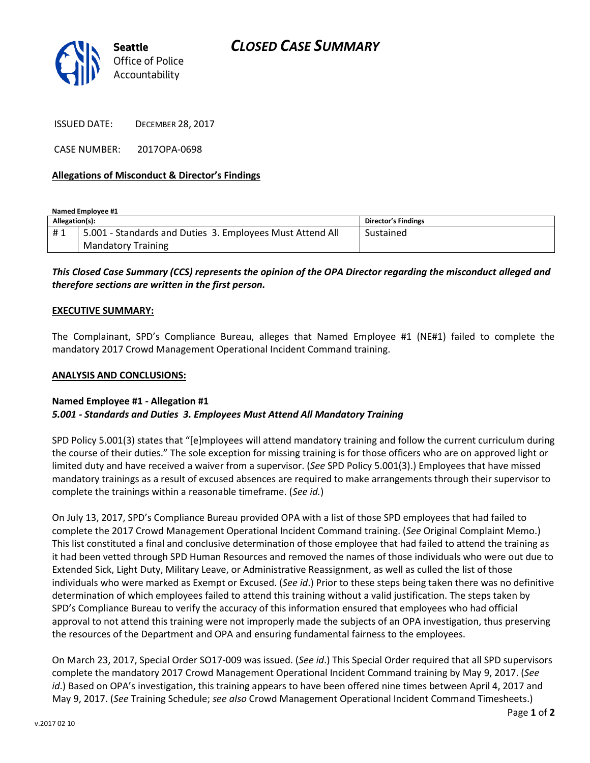

ISSUED DATE: DECEMBER 28, 2017

CASE NUMBER: 2017OPA-0698

## **Allegations of Misconduct & Director's Findings**

**Named Employee #1**

| Allegation(s): |                                                           | Director's Findings |
|----------------|-----------------------------------------------------------|---------------------|
| #1             | 5.001 - Standards and Duties 3. Employees Must Attend All | Sustained           |
|                | <b>Mandatory Training</b>                                 |                     |

# *This Closed Case Summary (CCS) represents the opinion of the OPA Director regarding the misconduct alleged and therefore sections are written in the first person.*

### **EXECUTIVE SUMMARY:**

The Complainant, SPD's Compliance Bureau, alleges that Named Employee #1 (NE#1) failed to complete the mandatory 2017 Crowd Management Operational Incident Command training.

#### **ANALYSIS AND CONCLUSIONS:**

#### **Named Employee #1 - Allegation #1** *5.001 - Standards and Duties 3. Employees Must Attend All Mandatory Training*

SPD Policy 5.001(3) states that "[e]mployees will attend mandatory training and follow the current curriculum during the course of their duties." The sole exception for missing training is for those officers who are on approved light or limited duty and have received a waiver from a supervisor. (*See* SPD Policy 5.001(3).) Employees that have missed mandatory trainings as a result of excused absences are required to make arrangements through their supervisor to complete the trainings within a reasonable timeframe. (*See id.*)

On July 13, 2017, SPD's Compliance Bureau provided OPA with a list of those SPD employees that had failed to complete the 2017 Crowd Management Operational Incident Command training. (*See* Original Complaint Memo.) This list constituted a final and conclusive determination of those employee that had failed to attend the training as it had been vetted through SPD Human Resources and removed the names of those individuals who were out due to Extended Sick, Light Duty, Military Leave, or Administrative Reassignment, as well as culled the list of those individuals who were marked as Exempt or Excused. (*See id*.) Prior to these steps being taken there was no definitive determination of which employees failed to attend this training without a valid justification. The steps taken by SPD's Compliance Bureau to verify the accuracy of this information ensured that employees who had official approval to not attend this training were not improperly made the subjects of an OPA investigation, thus preserving the resources of the Department and OPA and ensuring fundamental fairness to the employees.

On March 23, 2017, Special Order SO17-009 was issued. (*See id*.) This Special Order required that all SPD supervisors complete the mandatory 2017 Crowd Management Operational Incident Command training by May 9, 2017. (*See id*.) Based on OPA's investigation, this training appears to have been offered nine times between April 4, 2017 and May 9, 2017. (*See* Training Schedule; *see also* Crowd Management Operational Incident Command Timesheets.)